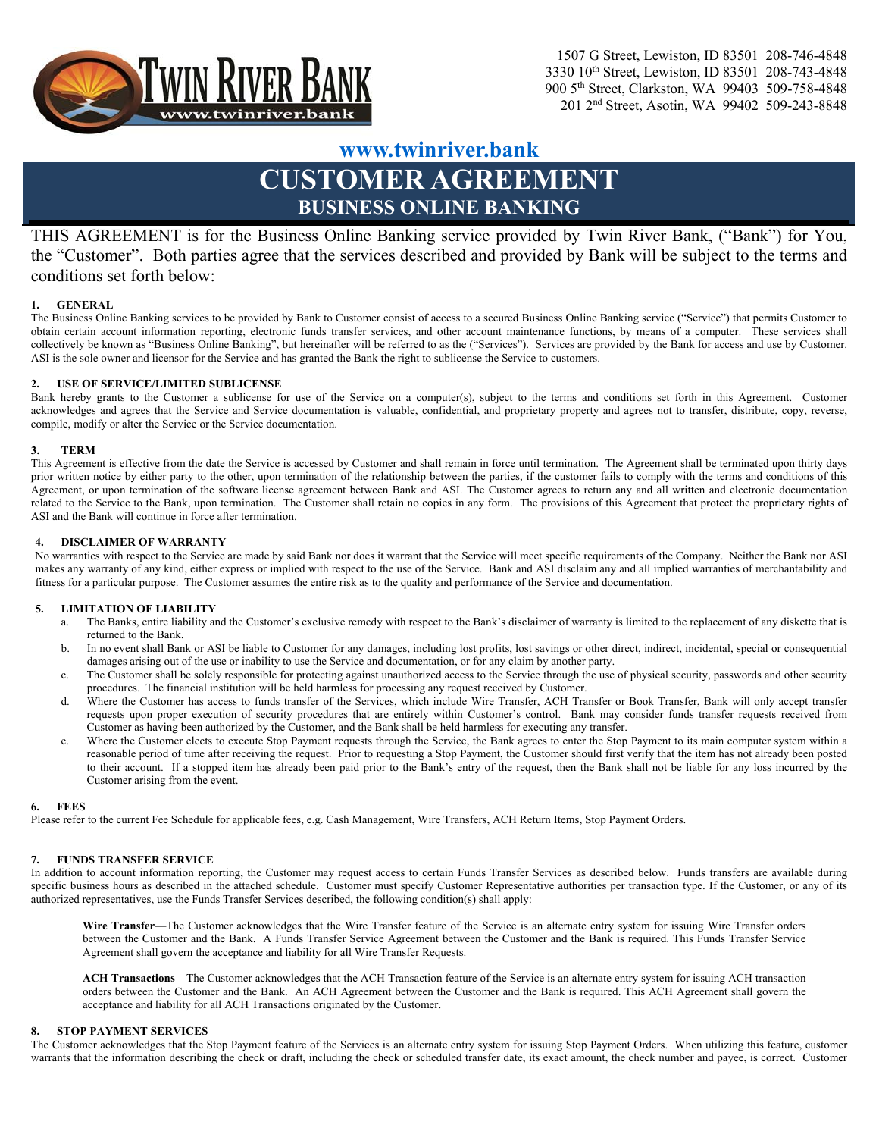

# **www.twinriver.bank**

# **CUSTOMER AGREEMENT BUSINESS ONLINE BANKING**

THIS AGREEMENT is for the Business Online Banking service provided by Twin River Bank, ("Bank") for You, the "Customer". Both parties agree that the services described and provided by Bank will be subject to the terms and conditions set forth below:

#### **1. GENERAL**

The Business Online Banking services to be provided by Bank to Customer consist of access to a secured Business Online Banking service ("Service") that permits Customer to obtain certain account information reporting, electronic funds transfer services, and other account maintenance functions, by means of a computer. These services shall collectively be known as "Business Online Banking", but hereinafter will be referred to as the ("Services"). Services are provided by the Bank for access and use by Customer. ASI is the sole owner and licensor for the Service and has granted the Bank the right to sublicense the Service to customers.

#### **2. USE OF SERVICE/LIMITED SUBLICENSE**

Bank hereby grants to the Customer a sublicense for use of the Service on a computer(s), subject to the terms and conditions set forth in this Agreement. Customer acknowledges and agrees that the Service and Service documentation is valuable, confidential, and proprietary property and agrees not to transfer, distribute, copy, reverse, compile, modify or alter the Service or the Service documentation.

#### **3. TERM**

This Agreement is effective from the date the Service is accessed by Customer and shall remain in force until termination. The Agreement shall be terminated upon thirty days prior written notice by either party to the other, upon termination of the relationship between the parties, if the customer fails to comply with the terms and conditions of this Agreement, or upon termination of the software license agreement between Bank and ASI. The Customer agrees to return any and all written and electronic documentation related to the Service to the Bank, upon termination. The Customer shall retain no copies in any form. The provisions of this Agreement that protect the proprietary rights of ASI and the Bank will continue in force after termination.

#### **4. DISCLAIMER OF WARRANTY**

No warranties with respect to the Service are made by said Bank nor does it warrant that the Service will meet specific requirements of the Company. Neither the Bank nor ASI makes any warranty of any kind, either express or implied with respect to the use of the Service. Bank and ASI disclaim any and all implied warranties of merchantability and fitness for a particular purpose. The Customer assumes the entire risk as to the quality and performance of the Service and documentation.

#### **5. LIMITATION OF LIABILITY**

- a. The Banks, entire liability and the Customer's exclusive remedy with respect to the Bank's disclaimer of warranty is limited to the replacement of any diskette that is returned to the Bank.
- b. In no event shall Bank or ASI be liable to Customer for any damages, including lost profits, lost savings or other direct, indirect, incidental, special or consequential damages arising out of the use or inability to use the Service and documentation, or for any claim by another party.
- c. The Customer shall be solely responsible for protecting against unauthorized access to the Service through the use of physical security, passwords and other security procedures. The financial institution will be held harmless for processing any request received by Customer.
- d. Where the Customer has access to funds transfer of the Services, which include Wire Transfer, ACH Transfer or Book Transfer, Bank will only accept transfer requests upon proper execution of security procedures that are entirely within Customer's control. Bank may consider funds transfer requests received from Customer as having been authorized by the Customer, and the Bank shall be held harmless for executing any transfer.
- e. Where the Customer elects to execute Stop Payment requests through the Service, the Bank agrees to enter the Stop Payment to its main computer system within a reasonable period of time after receiving the request. Prior to requesting a Stop Payment, the Customer should first verify that the item has not already been posted to their account. If a stopped item has already been paid prior to the Bank's entry of the request, then the Bank shall not be liable for any loss incurred by the Customer arising from the event.

#### **6. FEES**

Please refer to the current Fee Schedule for applicable fees, e.g. Cash Management, Wire Transfers, ACH Return Items, Stop Payment Orders.

#### **7. FUNDS TRANSFER SERVICE**

In addition to account information reporting, the Customer may request access to certain Funds Transfer Services as described below. Funds transfers are available during specific business hours as described in the attached schedule. Customer must specify Customer Representative authorities per transaction type. If the Customer, or any of its authorized representatives, use the Funds Transfer Services described, the following condition(s) shall apply:

Wire Transfer—The Customer acknowledges that the Wire Transfer feature of the Service is an alternate entry system for issuing Wire Transfer orders between the Customer and the Bank. A Funds Transfer Service Agreement between the Customer and the Bank is required. This Funds Transfer Service Agreement shall govern the acceptance and liability for all Wire Transfer Requests.

**ACH Transactions**—The Customer acknowledges that the ACH Transaction feature of the Service is an alternate entry system for issuing ACH transaction orders between the Customer and the Bank. An ACH Agreement between the Customer and the Bank is required. This ACH Agreement shall govern the acceptance and liability for all ACH Transactions originated by the Customer.

#### **8. STOP PAYMENT SERVICES**

The Customer acknowledges that the Stop Payment feature of the Services is an alternate entry system for issuing Stop Payment Orders. When utilizing this feature, customer warrants that the information describing the check or draft, including the check or scheduled transfer date, its exact amount, the check number and payee, is correct. Customer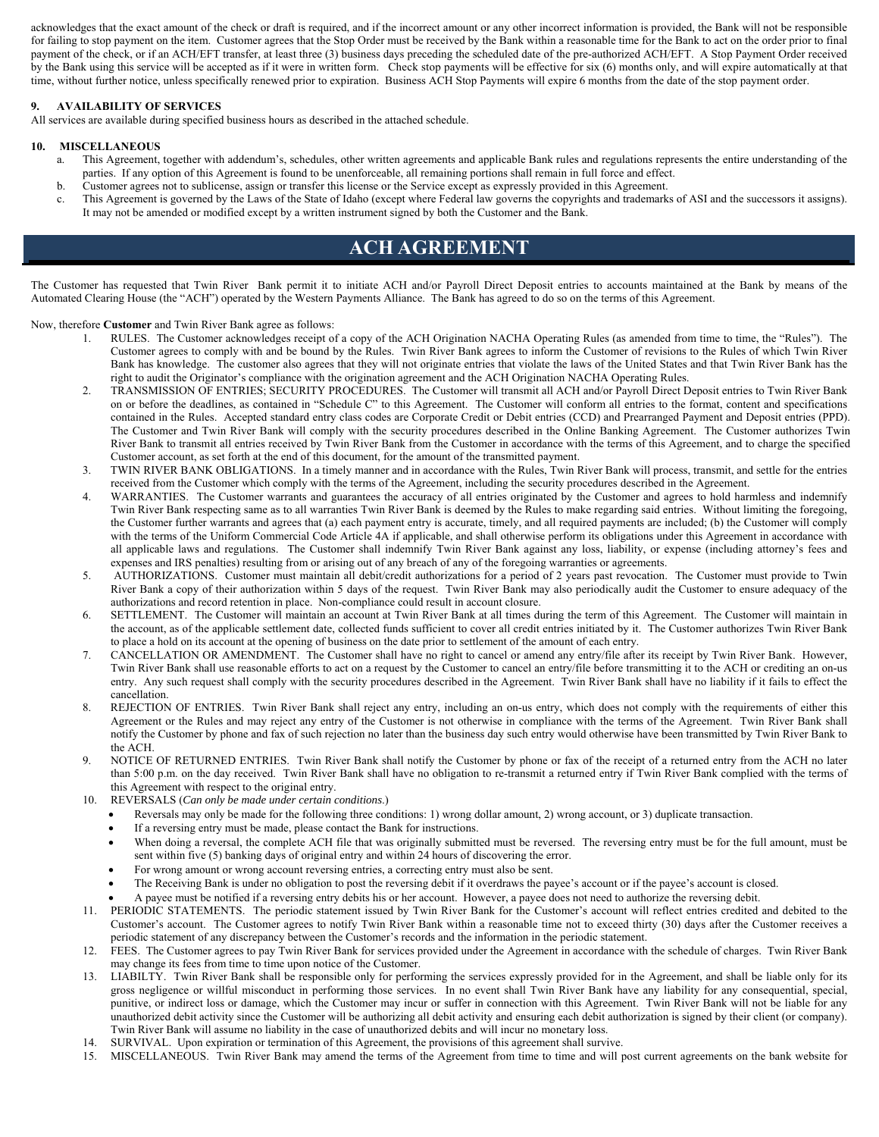acknowledges that the exact amount of the check or draft is required, and if the incorrect amount or any other incorrect information is provided, the Bank will not be responsible for failing to stop payment on the item. Customer agrees that the Stop Order must be received by the Bank within a reasonable time for the Bank to act on the order prior to final payment of the check, or if an ACH/EFT transfer, at least three (3) business days preceding the scheduled date of the pre-authorized ACH/EFT. A Stop Payment Order received by the Bank using this service will be accepted as if it were in written form. Check stop payments will be effective for six (6) months only, and will expire automatically at that time, without further notice, unless specifically renewed prior to expiration. Business ACH Stop Payments will expire 6 months from the date of the stop payment order.

#### **9. AVAILABILITY OF SERVICES**

All services are available during specified business hours as described in the attached schedule.

### **10. MISCELLANEOUS**

- a. This Agreement, together with addendum's, schedules, other written agreements and applicable Bank rules and regulations represents the entire understanding of the parties. If any option of this Agreement is found to be unenforceable, all remaining portions shall remain in full force and effect.
- b. Customer agrees not to sublicense, assign or transfer this license or the Service except as expressly provided in this Agreement.
- c. This Agreement is governed by the Laws of the State of Idaho (except where Federal law governs the copyrights and trademarks of ASI and the successors it assigns). It may not be amended or modified except by a written instrument signed by both the Customer and the Bank.

## **ACH AGREEMENT**

The Customer has requested that Twin River Bank permit it to initiate ACH and/or Payroll Direct Deposit entries to accounts maintained at the Bank by means of the Automated Clearing House (the "ACH") operated by the Western Payments Alliance. The Bank has agreed to do so on the terms of this Agreement.

Now, therefore **Customer** and Twin River Bank agree as follows:

- 1. RULES. The Customer acknowledges receipt of a copy of the ACH Origination NACHA Operating Rules (as amended from time to time, the "Rules"). The Customer agrees to comply with and be bound by the Rules. Twin River Bank agrees to inform the Customer of revisions to the Rules of which Twin River Bank has knowledge. The customer also agrees that they will not originate entries that violate the laws of the United States and that Twin River Bank has the right to audit the Originator's compliance with the origination agreement and the ACH Origination NACHA Operating Rules.
- 2. TRANSMISSION OF ENTRIES; SECURITY PROCEDURES. The Customer will transmit all ACH and/or Payroll Direct Deposit entries to Twin River Bank on or before the deadlines, as contained in "Schedule C" to this Agreement. The Customer will conform all entries to the format, content and specifications contained in the Rules. Accepted standard entry class codes are Corporate Credit or Debit entries (CCD) and Prearranged Payment and Deposit entries (PPD). The Customer and Twin River Bank will comply with the security procedures described in the Online Banking Agreement. The Customer authorizes Twin River Bank to transmit all entries received by Twin River Bank from the Customer in accordance with the terms of this Agreement, and to charge the specified Customer account, as set forth at the end of this document, for the amount of the transmitted payment.
- 3. TWIN RIVER BANK OBLIGATIONS. In a timely manner and in accordance with the Rules, Twin River Bank will process, transmit, and settle for the entries received from the Customer which comply with the terms of the Agreement, including the security procedures described in the Agreement.
- 4. WARRANTIES. The Customer warrants and guarantees the accuracy of all entries originated by the Customer and agrees to hold harmless and indemnify Twin River Bank respecting same as to all warranties Twin River Bank is deemed by the Rules to make regarding said entries. Without limiting the foregoing, the Customer further warrants and agrees that (a) each payment entry is accurate, timely, and all required payments are included; (b) the Customer will comply with the terms of the Uniform Commercial Code Article 4A if applicable, and shall otherwise perform its obligations under this Agreement in accordance with all applicable laws and regulations. The Customer shall indemnify Twin River Bank against any loss, liability, or expense (including attorney's fees and expenses and IRS penalties) resulting from or arising out of any breach of any of the foregoing warranties or agreements.
- 5. AUTHORIZATIONS. Customer must maintain all debit/credit authorizations for a period of 2 years past revocation. The Customer must provide to Twin River Bank a copy of their authorization within 5 days of the request. Twin River Bank may also periodically audit the Customer to ensure adequacy of the authorizations and record retention in place. Non-compliance could result in account closure.
- 6. SETTLEMENT. The Customer will maintain an account at Twin River Bank at all times during the term of this Agreement. The Customer will maintain in the account, as of the applicable settlement date, collected funds sufficient to cover all credit entries initiated by it. The Customer authorizes Twin River Bank to place a hold on its account at the opening of business on the date prior to settlement of the amount of each entry.
- 7. CANCELLATION OR AMENDMENT. The Customer shall have no right to cancel or amend any entry/file after its receipt by Twin River Bank. However, Twin River Bank shall use reasonable efforts to act on a request by the Customer to cancel an entry/file before transmitting it to the ACH or crediting an on-us entry. Any such request shall comply with the security procedures described in the Agreement. Twin River Bank shall have no liability if it fails to effect the cancellation.
- 8. REJECTION OF ENTRIES. Twin River Bank shall reject any entry, including an on-us entry, which does not comply with the requirements of either this Agreement or the Rules and may reject any entry of the Customer is not otherwise in compliance with the terms of the Agreement. Twin River Bank shall notify the Customer by phone and fax of such rejection no later than the business day such entry would otherwise have been transmitted by Twin River Bank to the ACH.
- 9. NOTICE OF RETURNED ENTRIES. Twin River Bank shall notify the Customer by phone or fax of the receipt of a returned entry from the ACH no later than 5:00 p.m. on the day received. Twin River Bank shall have no obligation to re-transmit a returned entry if Twin River Bank complied with the terms of this Agreement with respect to the original entry.
- 10. REVERSALS (*Can only be made under certain conditions*.)
	- Reversals may only be made for the following three conditions: 1) wrong dollar amount, 2) wrong account, or 3) duplicate transaction.
	- If a reversing entry must be made, please contact the Bank for instructions.
	- When doing a reversal, the complete ACH file that was originally submitted must be reversed. The reversing entry must be for the full amount, must be sent within five (5) banking days of original entry and within 24 hours of discovering the error.
	- For wrong amount or wrong account reversing entries, a correcting entry must also be sent.
	- The Receiving Bank is under no obligation to post the reversing debit if it overdraws the payee's account or if the payee's account is closed.
	- A payee must be notified if a reversing entry debits his or her account. However, a payee does not need to authorize the reversing debit.
- 11. PERIODIC STATEMENTS. The periodic statement issued by Twin River Bank for the Customer's account will reflect entries credited and debited to the Customer's account. The Customer agrees to notify Twin River Bank within a reasonable time not to exceed thirty (30) days after the Customer receives a periodic statement of any discrepancy between the Customer's records and the information in the periodic statement.
- 12. FEES. The Customer agrees to pay Twin River Bank for services provided under the Agreement in accordance with the schedule of charges. Twin River Bank may change its fees from time to time upon notice of the Customer.
- 13. LIABILTY. Twin River Bank shall be responsible only for performing the services expressly provided for in the Agreement, and shall be liable only for its gross negligence or willful misconduct in performing those services. In no event shall Twin River Bank have any liability for any consequential, special, punitive, or indirect loss or damage, which the Customer may incur or suffer in connection with this Agreement. Twin River Bank will not be liable for any unauthorized debit activity since the Customer will be authorizing all debit activity and ensuring each debit authorization is signed by their client (or company). Twin River Bank will assume no liability in the case of unauthorized debits and will incur no monetary loss.
- 14. SURVIVAL. Upon expiration or termination of this Agreement, the provisions of this agreement shall survive.
- 15. MISCELLANEOUS. Twin River Bank may amend the terms of the Agreement from time to time and will post current agreements on the bank website for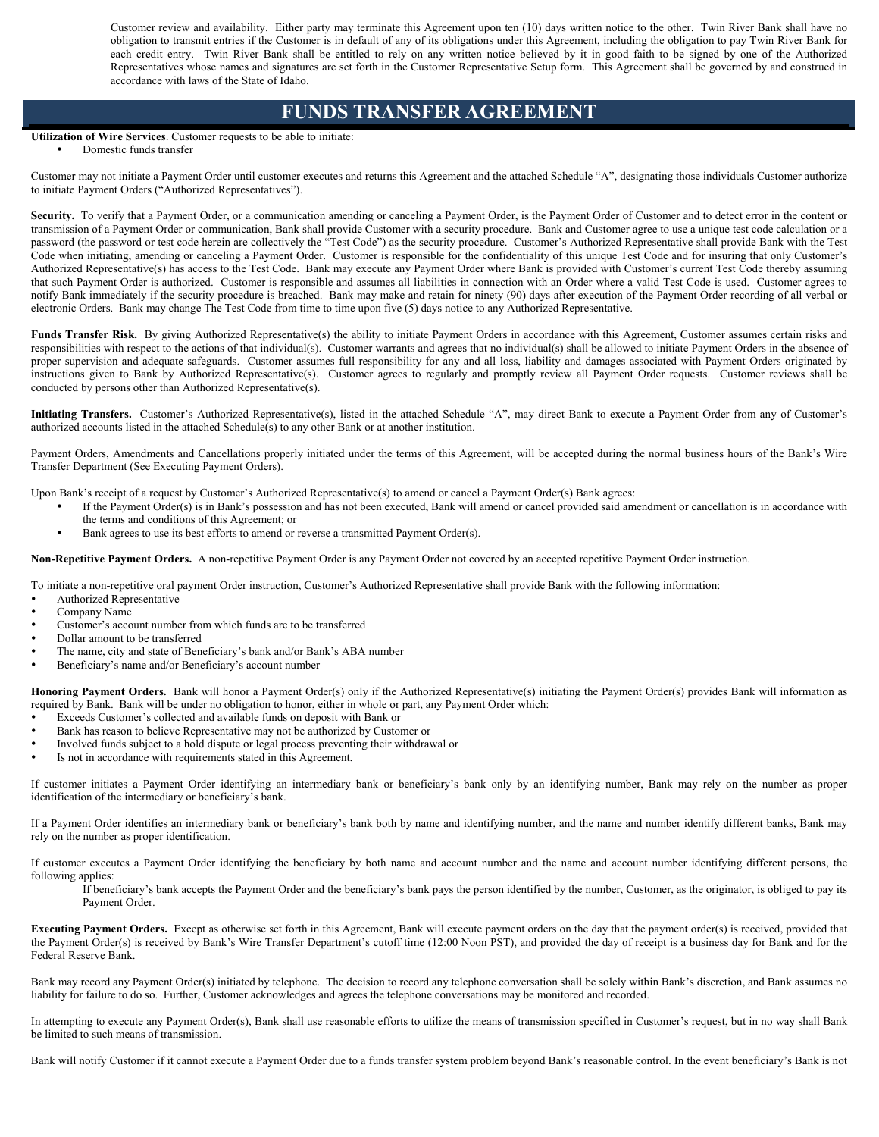Customer review and availability. Either party may terminate this Agreement upon ten (10) days written notice to the other. Twin River Bank shall have no obligation to transmit entries if the Customer is in default of any of its obligations under this Agreement, including the obligation to pay Twin River Bank for each credit entry. Twin River Bank shall be entitled to rely on any written notice believed by it in good faith to be signed by one of the Authorized Representatives whose names and signatures are set forth in the Customer Representative Setup form. This Agreement shall be governed by and construed in accordance with laws of the State of Idaho.

### **FUNDS TRANSFER AGREEMENT**

#### **Utilization of Wire Services**. Customer requests to be able to initiate:

Domestic funds transfer

Customer may not initiate a Payment Order until customer executes and returns this Agreement and the attached Schedule "A", designating those individuals Customer authorize to initiate Payment Orders ("Authorized Representatives").

Security. To verify that a Payment Order, or a communication amending or canceling a Payment Order, is the Payment Order of Customer and to detect error in the content or transmission of a Payment Order or communication, Bank shall provide Customer with a security procedure. Bank and Customer agree to use a unique test code calculation or a password (the password or test code herein are collectively the "Test Code") as the security procedure. Customer's Authorized Representative shall provide Bank with the Test Code when initiating, amending or canceling a Payment Order. Customer is responsible for the confidentiality of this unique Test Code and for insuring that only Customer's Authorized Representative(s) has access to the Test Code. Bank may execute any Payment Order where Bank is provided with Customer's current Test Code thereby assuming that such Payment Order is authorized. Customer is responsible and assumes all liabilities in connection with an Order where a valid Test Code is used. Customer agrees to notify Bank immediately if the security procedure is breached. Bank may make and retain for ninety (90) days after execution of the Payment Order recording of all verbal or electronic Orders. Bank may change The Test Code from time to time upon five (5) days notice to any Authorized Representative.

Funds Transfer Risk. By giving Authorized Representative(s) the ability to initiate Payment Orders in accordance with this Agreement, Customer assumes certain risks and responsibilities with respect to the actions of that individual(s). Customer warrants and agrees that no individual(s) shall be allowed to initiate Payment Orders in the absence of proper supervision and adequate safeguards. Customer assumes full responsibility for any and all loss, liability and damages associated with Payment Orders originated by instructions given to Bank by Authorized Representative(s). Customer agrees to regularly and promptly review all Payment Order requests. Customer reviews shall be conducted by persons other than Authorized Representative(s).

**Initiating Transfers.** Customer's Authorized Representative(s), listed in the attached Schedule "A", may direct Bank to execute a Payment Order from any of Customer's authorized accounts listed in the attached Schedule(s) to any other Bank or at another institution.

Payment Orders, Amendments and Cancellations properly initiated under the terms of this Agreement, will be accepted during the normal business hours of the Bank's Wire Transfer Department (See Executing Payment Orders).

Upon Bank's receipt of a request by Customer's Authorized Representative(s) to amend or cancel a Payment Order(s) Bank agrees:

- If the Payment Order(s) is in Bank's possession and has not been executed, Bank will amend or cancel provided said amendment or cancellation is in accordance with the terms and conditions of this Agreement; or
- Bank agrees to use its best efforts to amend or reverse a transmitted Payment Order(s).

**Non-Repetitive Payment Orders.** A non-repetitive Payment Order is any Payment Order not covered by an accepted repetitive Payment Order instruction.

To initiate a non-repetitive oral payment Order instruction, Customer's Authorized Representative shall provide Bank with the following information:

- Authorized Representative
- Company Name
- Customer's account number from which funds are to be transferred
- Dollar amount to be transferred
- The name, city and state of Beneficiary's bank and/or Bank's ABA number
- Beneficiary's name and/or Beneficiary's account number

Honoring Payment Orders. Bank will honor a Payment Order(s) only if the Authorized Representative(s) initiating the Payment Order(s) provides Bank will information as required by Bank. Bank will be under no obligation to honor, either in whole or part, any Payment Order which:

- Exceeds Customer's collected and available funds on deposit with Bank or
- Bank has reason to believe Representative may not be authorized by Customer or
- Involved funds subject to a hold dispute or legal process preventing their withdrawal or
- Is not in accordance with requirements stated in this Agreement.

If customer initiates a Payment Order identifying an intermediary bank or beneficiary's bank only by an identifying number, Bank may rely on the number as proper identification of the intermediary or beneficiary's bank.

If a Payment Order identifies an intermediary bank or beneficiary's bank both by name and identifying number, and the name and number identify different banks, Bank may rely on the number as proper identification.

If customer executes a Payment Order identifying the beneficiary by both name and account number and the name and account number identifying different persons, the following applies:

If beneficiary's bank accepts the Payment Order and the beneficiary's bank pays the person identified by the number, Customer, as the originator, is obliged to pay its Payment Order.

**Executing Payment Orders.** Except as otherwise set forth in this Agreement, Bank will execute payment orders on the day that the payment order(s) is received, provided that the Payment Order(s) is received by Bank's Wire Transfer Department's cutoff time (12:00 Noon PST), and provided the day of receipt is a business day for Bank and for the Federal Reserve Bank.

Bank may record any Payment Order(s) initiated by telephone. The decision to record any telephone conversation shall be solely within Bank's discretion, and Bank assumes no liability for failure to do so. Further, Customer acknowledges and agrees the telephone conversations may be monitored and recorded.

In attempting to execute any Payment Order(s), Bank shall use reasonable efforts to utilize the means of transmission specified in Customer's request, but in no way shall Bank be limited to such means of transmission.

Bank will notify Customer if it cannot execute a Payment Order due to a funds transfer system problem beyond Bank's reasonable control. In the event beneficiary's Bank is not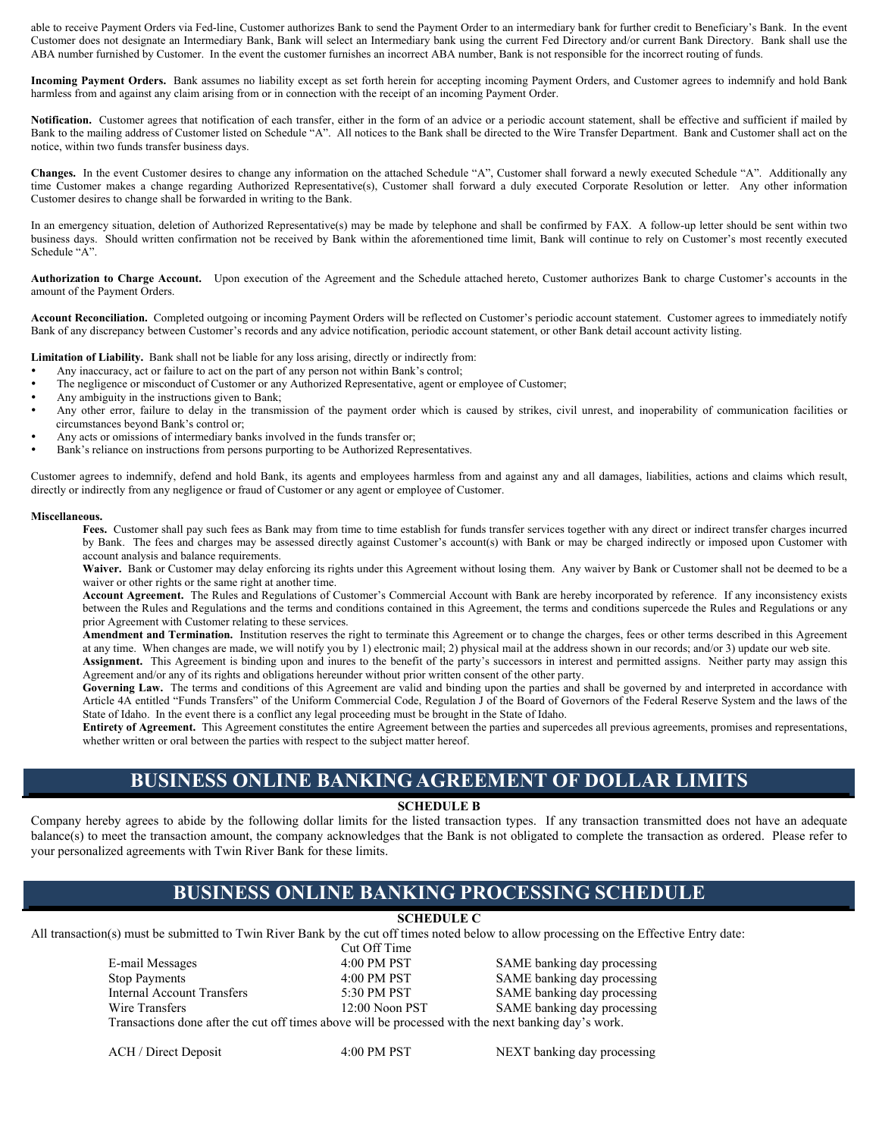able to receive Payment Orders via Fed-line, Customer authorizes Bank to send the Payment Order to an intermediary bank for further credit to Beneficiary's Bank. In the event Customer does not designate an Intermediary Bank, Bank will select an Intermediary bank using the current Fed Directory and/or current Bank Directory. Bank shall use the ABA number furnished by Customer. In the event the customer furnishes an incorrect ABA number, Bank is not responsible for the incorrect routing of funds.

**Incoming Payment Orders.** Bank assumes no liability except as set forth herein for accepting incoming Payment Orders, and Customer agrees to indemnify and hold Bank harmless from and against any claim arising from or in connection with the receipt of an incoming Payment Order.

**Notification.** Customer agrees that notification of each transfer, either in the form of an advice or a periodic account statement, shall be effective and sufficient if mailed by Bank to the mailing address of Customer listed on Schedule "A". All notices to the Bank shall be directed to the Wire Transfer Department. Bank and Customer shall act on the notice, within two funds transfer business days.

**Changes.** In the event Customer desires to change any information on the attached Schedule "A", Customer shall forward a newly executed Schedule "A". Additionally any time Customer makes a change regarding Authorized Representative(s), Customer shall forward a duly executed Corporate Resolution or letter. Any other information Customer desires to change shall be forwarded in writing to the Bank.

In an emergency situation, deletion of Authorized Representative(s) may be made by telephone and shall be confirmed by FAX. A follow-up letter should be sent within two business days. Should written confirmation not be received by Bank within the aforementioned time limit, Bank will continue to rely on Customer's most recently executed Schedule "A".

**Authorization to Charge Account.** Upon execution of the Agreement and the Schedule attached hereto, Customer authorizes Bank to charge Customer's accounts in the amount of the Payment Orders.

**Account Reconciliation.** Completed outgoing or incoming Payment Orders will be reflected on Customer's periodic account statement. Customer agrees to immediately notify Bank of any discrepancy between Customer's records and any advice notification, periodic account statement, or other Bank detail account activity listing.

**Limitation of Liability.** Bank shall not be liable for any loss arising, directly or indirectly from:

- Any inaccuracy, act or failure to act on the part of any person not within Bank's control;
- The negligence or misconduct of Customer or any Authorized Representative, agent or employee of Customer;
- Any ambiguity in the instructions given to Bank;
- Any other error, failure to delay in the transmission of the payment order which is caused by strikes, civil unrest, and inoperability of communication facilities or circumstances beyond Bank's control or;
- Any acts or omissions of intermediary banks involved in the funds transfer or;
- Bank's reliance on instructions from persons purporting to be Authorized Representatives.

Customer agrees to indemnify, defend and hold Bank, its agents and employees harmless from and against any and all damages, liabilities, actions and claims which result, directly or indirectly from any negligence or fraud of Customer or any agent or employee of Customer.

#### **Miscellaneous.**

Fees. Customer shall pay such fees as Bank may from time to time establish for funds transfer services together with any direct or indirect transfer charges incurred by Bank. The fees and charges may be assessed directly against Customer's account(s) with Bank or may be charged indirectly or imposed upon Customer with account analysis and balance requirements.

Waiver. Bank or Customer may delay enforcing its rights under this Agreement without losing them. Any waiver by Bank or Customer shall not be deemed to be a waiver or other rights or the same right at another time.

**Account Agreement.** The Rules and Regulations of Customer's Commercial Account with Bank are hereby incorporated by reference. If any inconsistency exists between the Rules and Regulations and the terms and conditions contained in this Agreement, the terms and conditions supercede the Rules and Regulations or any prior Agreement with Customer relating to these services.

**Amendment and Termination.** Institution reserves the right to terminate this Agreement or to change the charges, fees or other terms described in this Agreement at any time. When changes are made, we will notify you by 1) electronic mail; 2) physical mail at the address shown in our records; and/or 3) update our web site.

**Assignment.** This Agreement is binding upon and inures to the benefit of the party's successors in interest and permitted assigns. Neither party may assign this Agreement and/or any of its rights and obligations hereunder without prior written consent of the other party.

Governing Law. The terms and conditions of this Agreement are valid and binding upon the parties and shall be governed by and interpreted in accordance with Article 4A entitled "Funds Transfers" of the Uniform Commercial Code, Regulation J of the Board of Governors of the Federal Reserve System and the laws of the State of Idaho. In the event there is a conflict any legal proceeding must be brought in the State of Idaho.

**Entirety of Agreement.** This Agreement constitutes the entire Agreement between the parties and supercedes all previous agreements, promises and representations, whether written or oral between the parties with respect to the subject matter hereof.

### **BUSINESS ONLINE BANKING AGREEMENT OF DOLLAR LIMITS**

#### **SCHEDULE B**

Company hereby agrees to abide by the following dollar limits for the listed transaction types. If any transaction transmitted does not have an adequate balance(s) to meet the transaction amount, the company acknowledges that the Bank is not obligated to complete the transaction as ordered. Please refer to your personalized agreements with Twin River Bank for these limits.

### **BUSINESS ONLINE BANKING PROCESSING SCHEDULE**

### **SCHEDULE C**

All transaction(s) must be submitted to Twin River Bank by the cut off times noted below to allow processing on the Effective Entry date:

Cut Off Time<br>4:00 PM PST E-mail Messages 4:00 PM PST SAME banking day processing Stop Payments 4:00 PM PST SAME banking day processing Internal Account Transfers 5:30 PM PST SAME banking day processing Wire Transfers The 12:00 Noon PST SAME banking day processing Transactions done after the cut off times above will be processed with the next banking day's work.

ACH / Direct Deposit 4:00 PM PST NEXT banking day processing